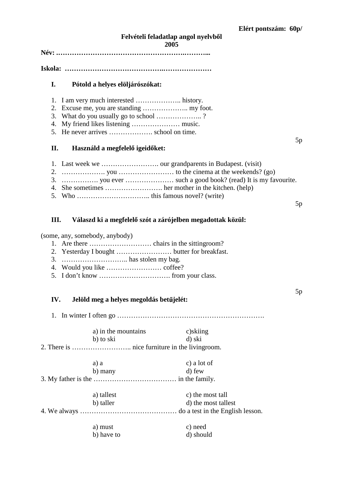### Felvételi feladatlap angol nyelvből **2005**

**Név: .……………………………………………….………...** 

**Iskola: …………………………………….…………………**

### **I. Pótold a helyes elöljárószókat:**

- 1. I am very much interested ……………….. history.
- 2. Excuse me, you are standing ……………….. my foot.
- 3. What do you usually go to school ……………….. ?
- 4. My friend likes listening ………………… music.
- 5. He never arrives ………………. school on time.

### **II.** Használd a megfelelő igeidőket:

- 1. Last week we ……………………. our grandparents in Budapest. (visit)
- 2.  $\ldots$   $\ldots$  you  $\ldots$  you  $\ldots$   $\ldots$  to the cinema at the weekends? (go)
- 3. ……………. you ever ………………… such a good book? (read) It is my favourite.
- 4. She sometimes ……………………. her mother in the kitchen. (help)
- 5. Who ………………………….. this famous novel? (write)

#### 5p

5p

5p

## III. Válaszd ki a megfelelő szót a zárójelben megadottak közül:

(some, any, somebody, anybody)

- 1. Are there ……………………… chairs in the sittingroom?
- 2. Yesterday I bought …………………… butter for breakfast.
- 3. ……………………….. has stolen my bag.
- 4. Would you like …………………… coffee?
- 5. I don't know …………………………. from your class.

## IV. **Jelöld meg a helyes megoldás betűjelét:**

1. In winter I often go ……………………………………………………….

|                                      | a) in the mountains | c)skiing            |  |
|--------------------------------------|---------------------|---------------------|--|
|                                      | b) to ski           | d) ski              |  |
|                                      |                     |                     |  |
|                                      | a) a                | c) a lot of         |  |
|                                      | b) many             | d) few              |  |
|                                      |                     |                     |  |
|                                      | a) tallest          | c) the most tall    |  |
|                                      | b) taller           | d) the most tallest |  |
| $\sqrt{1 + \mathbf{1} + \mathbf{1}}$ |                     |                     |  |

4. We always …………………………………… do a test in the English lesson.

| a) must    | c) need   |
|------------|-----------|
| b) have to | d) should |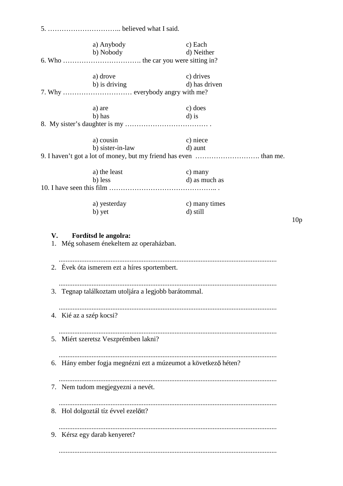5. ………………………….. believed what I said. a) Anybody c) Each b) Nobody d) Neither 6. Who ……………………………. the car you were sitting in? a) drove c) drives b) is driving d) has driven 7. Why ………………………… everybody angry with me? a) are c) does b) has d) is 8. My sister's daughter is my ……………………………… . a) cousin c) niece b) sister-in-law d) aunt 9. I haven't got a lot of money, but my friend has even ………………………. than me. a) the least c) many b) less d) as much as 10. I have seen this film ……………………………………….. . a) yesterday c) many times b) yet d) still 10p **V. Fordítsd le angolra:**  1. Még sohasem énekeltem az operaházban. .............................................................................................................................. 2. Évek óta ismerem ezt a híres sportembert. .............................................................................................................................. 3. Tegnap találkoztam utoljára a legjobb barátommal. .............................................................................................................................. 4. Kié az a szép kocsi? .............................................................................................................................. 5. Miért szeretsz Veszprémben lakni? .............................................................................................................................. 6. Hány ember fogja megnézni ezt a múzeumot a következő héten? .............................................................................................................................. 7. Nem tudom megjegyezni a nevét. .............................................................................................................................. 8. Hol dolgoztál tíz évvel ezelőtt? .............................................................................................................................. 9. Kérsz egy darab kenyeret? ..............................................................................................................................